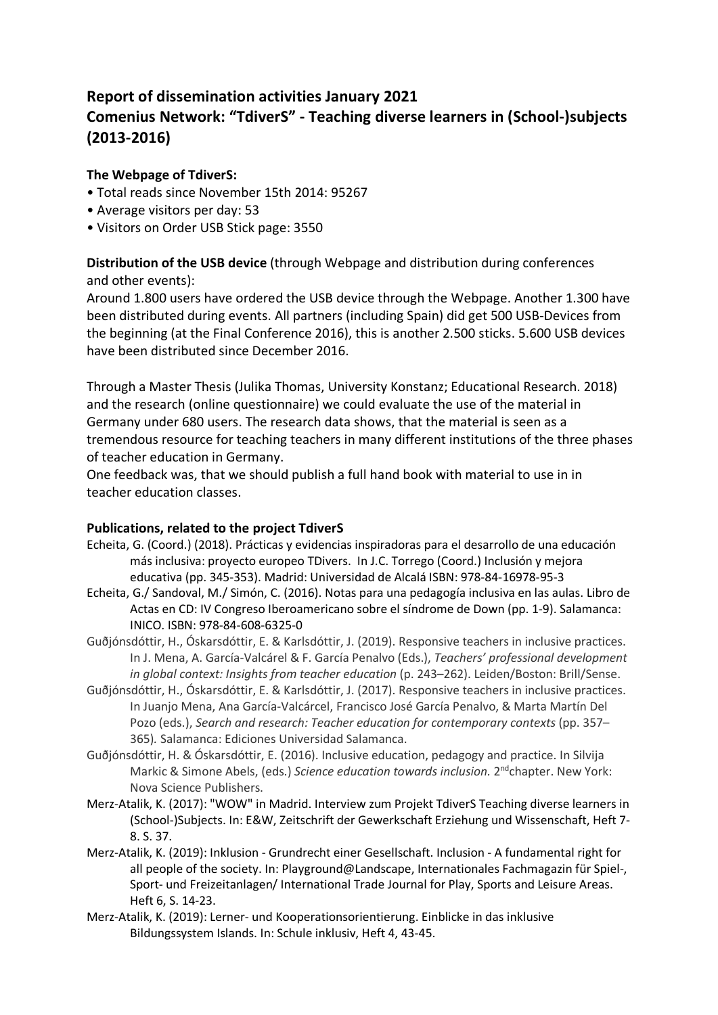## **Report of dissemination activities January 2021 Comenius Network: "TdiverS" - Teaching diverse learners in (School-)subjects (2013-2016)**

## **The Webpage of TdiverS:**

- Total reads since November 15th 2014: 95267
- Average visitors per day: 53
- Visitors on Order USB Stick page: 3550

**Distribution of the USB device** (through Webpage and distribution during conferences and other events):

Around 1.800 users have ordered the USB device through the Webpage. Another 1.300 have been distributed during events. All partners (including Spain) did get 500 USB-Devices from the beginning (at the Final Conference 2016), this is another 2.500 sticks. 5.600 USB devices have been distributed since December 2016.

Through a Master Thesis (Julika Thomas, University Konstanz; Educational Research. 2018) and the research (online questionnaire) we could evaluate the use of the material in Germany under 680 users. The research data shows, that the material is seen as a tremendous resource for teaching teachers in many different institutions of the three phases of teacher education in Germany.

One feedback was, that we should publish a full hand book with material to use in in teacher education classes.

## **Publications, related to the project TdiverS**

- Echeita, G. (Coord.) (2018). Prácticas y evidencias inspiradoras para el desarrollo de una educación más inclusiva: proyecto europeo TDivers. In J.C. Torrego (Coord.) Inclusión y mejora educativa (pp. 345-353). Madrid: Universidad de Alcalá ISBN: 978-84-16978-95-3
- Echeita, G./ Sandoval, M./ Simón, C. (2016). Notas para una pedagogía inclusiva en las aulas. Libro de Actas en CD: IV Congreso Iberoamericano sobre el síndrome de Down (pp. 1-9). Salamanca: INICO. ISBN: 978-84-608-6325-0
- Guðjónsdóttir, H., Óskarsdóttir, E. & Karlsdóttir, J. (2019). Responsive teachers in inclusive practices. In J. Mena, A. García-Valcárel & F. García Penalvo (Eds.), *Teachers' professional development in global context: Insights from teacher education* (p. 243–262). Leiden/Boston: Brill/Sense.
- Guðjónsdóttir, H., Óskarsdóttir, E. & Karlsdóttir, J. (2017). Responsive teachers in inclusive practices. In Juanjo Mena, Ana García-Valcárcel, Francisco José García Penalvo, & Marta Martín Del Pozo (eds.), *Search and research: Teacher education for contemporary contexts* (pp. 357– 365)*.* Salamanca: Ediciones Universidad Salamanca.
- Guðjónsdóttir, H. & Óskarsdóttir, E. (2016). Inclusive education, pedagogy and practice. In Silvija Markic & Simone Abels, (eds.) *Science education towards inclusion.* 2ndchapter. New York: Nova Science Publishers.
- Merz-Atalik, K. (2017): "WOW" in Madrid. Interview zum Projekt TdiverS Teaching diverse learners in (School-)Subjects. In: E&W, Zeitschrift der Gewerkschaft Erziehung und Wissenschaft, Heft 7- 8. S. 37.
- Merz-Atalik, K. (2019): Inklusion Grundrecht einer Gesellschaft. Inclusion A fundamental right for all people of the society. In: Playground@Landscape, Internationales Fachmagazin für Spiel-, Sport- und Freizeitanlagen/ International Trade Journal for Play, Sports and Leisure Areas. Heft 6, S. 14-23.
- Merz-Atalik, K. (2019): Lerner- und Kooperationsorientierung. Einblicke in das inklusive Bildungssystem Islands. In: Schule inklusiv, Heft 4, 43-45.